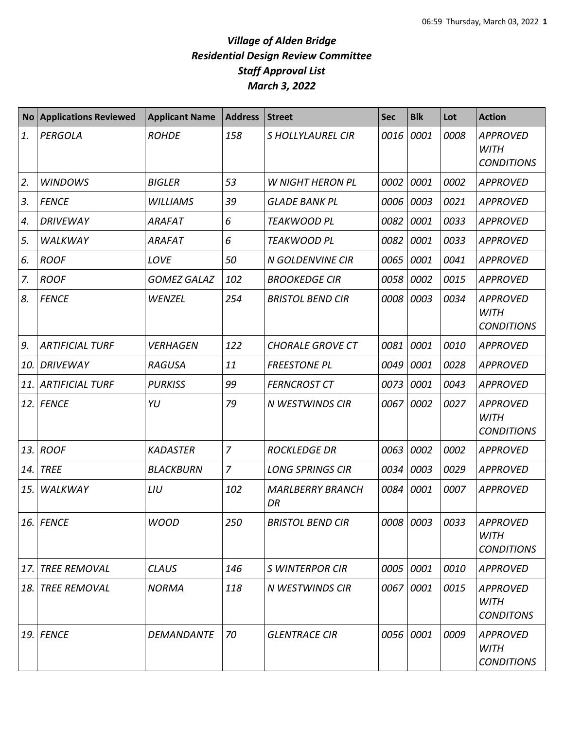| <b>No</b> | <b>Applications Reviewed</b> | <b>Applicant Name</b> | <b>Address</b> | <b>Street</b>                 | <b>Sec</b> | <b>Blk</b> | Lot  | <b>Action</b>                                       |
|-----------|------------------------------|-----------------------|----------------|-------------------------------|------------|------------|------|-----------------------------------------------------|
| 1.        | <b>PERGOLA</b>               | <b>ROHDE</b>          | 158            | <b>SHOLLYLAUREL CIR</b>       | 0016       | 0001       | 0008 | <b>APPROVED</b><br><b>WITH</b><br><b>CONDITIONS</b> |
| 2.        | <b>WINDOWS</b>               | <b>BIGLER</b>         | 53             | <b>W NIGHT HERON PL</b>       | 0002       | 0001       | 0002 | <b>APPROVED</b>                                     |
| 3.        | <b>FENCE</b>                 | <b>WILLIAMS</b>       | 39             | <b>GLADE BANK PL</b>          | 0006       | 0003       | 0021 | <b>APPROVED</b>                                     |
| 4.        | <b>DRIVEWAY</b>              | <b>ARAFAT</b>         | 6              | <b>TEAKWOOD PL</b>            | 0082       | 0001       | 0033 | <b>APPROVED</b>                                     |
| 5.        | <b>WALKWAY</b>               | <b>ARAFAT</b>         | 6              | <b>TEAKWOOD PL</b>            | 0082       | 0001       | 0033 | <b>APPROVED</b>                                     |
| 6.        | <b>ROOF</b>                  | LOVE                  | 50             | <b>N GOLDENVINE CIR</b>       | 0065       | 0001       | 0041 | <b>APPROVED</b>                                     |
| 7.        | <b>ROOF</b>                  | <b>GOMEZ GALAZ</b>    | 102            | <b>BROOKEDGE CIR</b>          | 0058       | 0002       | 0015 | <b>APPROVED</b>                                     |
| 8.        | <b>FENCE</b>                 | WENZEL                | 254            | <b>BRISTOL BEND CIR</b>       | 0008       | 0003       | 0034 | <b>APPROVED</b><br><b>WITH</b><br><b>CONDITIONS</b> |
| 9.        | <b>ARTIFICIAL TURF</b>       | <b>VERHAGEN</b>       | 122            | <b>CHORALE GROVE CT</b>       | 0081       | 0001       | 0010 | <b>APPROVED</b>                                     |
| 10.       | <b>DRIVEWAY</b>              | <b>RAGUSA</b>         | 11             | <b>FREESTONE PL</b>           | 0049       | 0001       | 0028 | <b>APPROVED</b>                                     |
| 11.       | <b>ARTIFICIAL TURF</b>       | <b>PURKISS</b>        | 99             | <b>FERNCROST CT</b>           | 0073       | 0001       | 0043 | <b>APPROVED</b>                                     |
| 12.       | <b>FENCE</b>                 | YU                    | 79             | N WESTWINDS CIR               | 0067       | 0002       | 0027 | <b>APPROVED</b><br><b>WITH</b><br><b>CONDITIONS</b> |
| 13.       | <b>ROOF</b>                  | <b>KADASTER</b>       | $\overline{7}$ | <b>ROCKLEDGE DR</b>           | 0063       | 0002       | 0002 | <b>APPROVED</b>                                     |
| 14.       | <b>TREE</b>                  | <b>BLACKBURN</b>      | $\overline{7}$ | <b>LONG SPRINGS CIR</b>       | 0034       | 0003       | 0029 | <b>APPROVED</b>                                     |
| 15.       | WALKWAY                      | LIU                   | 102            | <b>MARLBERRY BRANCH</b><br>DR | 0084       | 0001       | 0007 | <b>APPROVED</b>                                     |
|           | 16. FENCE                    | <b>WOOD</b>           | 250            | <b>BRISTOL BEND CIR</b>       |            | 0008 0003  | 0033 | <b>APPROVED</b><br><b>WITH</b><br><b>CONDITIONS</b> |
| 17.       | <b>TREE REMOVAL</b>          | <b>CLAUS</b>          | 146            | <b>S WINTERPOR CIR</b>        | 0005       | 0001       | 0010 | <b>APPROVED</b>                                     |
| 18.       | <b>TREE REMOVAL</b>          | <b>NORMA</b>          | 118            | N WESTWINDS CIR               | 0067       | 0001       | 0015 | <b>APPROVED</b><br><b>WITH</b><br><b>CONDITONS</b>  |
| 19.       | <b>FENCE</b>                 | <b>DEMANDANTE</b>     | 70             | <b>GLENTRACE CIR</b>          | 0056       | 0001       | 0009 | APPROVED<br>WITH<br><b>CONDITIONS</b>               |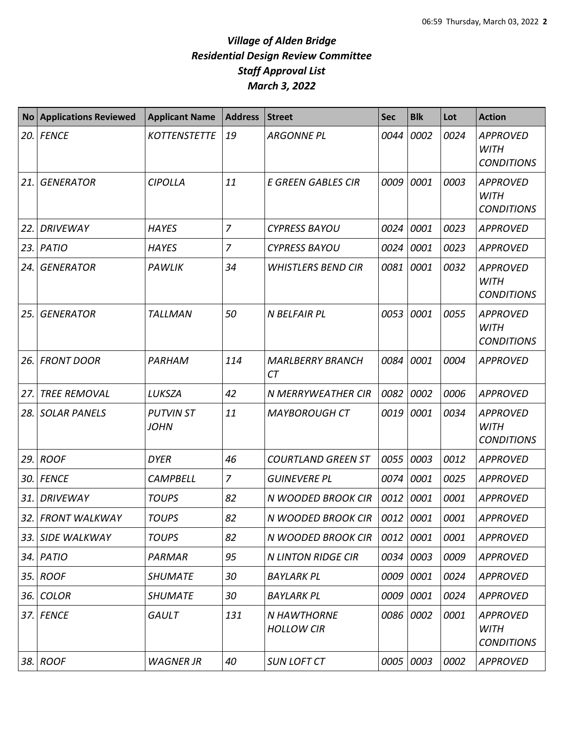| <b>No</b> | <b>Applications Reviewed</b> | <b>Applicant Name</b>           | <b>Address</b> | <b>Street</b>                           | <b>Sec</b> | <b>Blk</b> | Lot  | <b>Action</b>                                       |
|-----------|------------------------------|---------------------------------|----------------|-----------------------------------------|------------|------------|------|-----------------------------------------------------|
|           | 20. FENCE                    | <b>KOTTENSTETTE</b>             | 19             | <b>ARGONNE PL</b>                       | 0044       | 0002       | 0024 | <b>APPROVED</b><br><b>WITH</b><br><b>CONDITIONS</b> |
| 21.       | <b>GENERATOR</b>             | <b>CIPOLLA</b>                  | 11             | <b>E GREEN GABLES CIR</b>               | 0009       | 0001       | 0003 | <b>APPROVED</b><br><b>WITH</b><br><b>CONDITIONS</b> |
| 22.       | <b>DRIVEWAY</b>              | <b>HAYES</b>                    | $\overline{7}$ | <b>CYPRESS BAYOU</b>                    | 0024       | 0001       | 0023 | <b>APPROVED</b>                                     |
|           | 23. PATIO                    | <b>HAYES</b>                    | $\overline{z}$ | <b>CYPRESS BAYOU</b>                    | 0024       | 0001       | 0023 | <b>APPROVED</b>                                     |
| 24.       | <b>GENERATOR</b>             | PAWLIK                          | 34             | <b>WHISTLERS BEND CIR</b>               | 0081       | 0001       | 0032 | <b>APPROVED</b><br><b>WITH</b><br><b>CONDITIONS</b> |
| 25.       | <b>GENERATOR</b>             | <b>TALLMAN</b>                  | 50             | N BELFAIR PL                            | 0053       | 0001       | 0055 | <b>APPROVED</b><br><b>WITH</b><br><b>CONDITIONS</b> |
| 26. l     | <b>FRONT DOOR</b>            | PARHAM                          | 114            | <b>MARLBERRY BRANCH</b><br><b>CT</b>    | 0084       | 0001       | 0004 | <b>APPROVED</b>                                     |
| 27.       | <b>TREE REMOVAL</b>          | LUKSZA                          | 42             | N MERRYWEATHER CIR                      | 0082       | 0002       | 0006 | <b>APPROVED</b>                                     |
|           | 28. SOLAR PANELS             | <b>PUTVIN ST</b><br><b>JOHN</b> | 11             | <b>MAYBOROUGH CT</b>                    | 0019       | 0001       | 0034 | <b>APPROVED</b><br><b>WITH</b><br><b>CONDITIONS</b> |
|           | 29. ROOF                     | <b>DYER</b>                     | 46             | <b>COURTLAND GREEN ST</b>               | 0055       | 0003       | 0012 | <b>APPROVED</b>                                     |
|           | 30. FENCE                    | <b>CAMPBELL</b>                 | $\overline{7}$ | <b>GUINEVERE PL</b>                     | 0074       | 0001       | 0025 | <b>APPROVED</b>                                     |
| 31. l     | <b>DRIVEWAY</b>              | <b>TOUPS</b>                    | 82             | N WOODED BROOK CIR                      | 0012       | 0001       | 0001 | <b>APPROVED</b>                                     |
|           | 32. FRONT WALKWAY            | <b>TOUPS</b>                    | 82             | N WOODED BROOK CIR                      | 0012 0001  |            | 0001 | APPROVED                                            |
|           | 33. SIDE WALKWAY             | <b>TOUPS</b>                    | 82             | N WOODED BROOK CIR                      | 0012       | 0001       | 0001 | <b>APPROVED</b>                                     |
|           | 34. PATIO                    | <b>PARMAR</b>                   | 95             | <b>N LINTON RIDGE CIR</b>               | 0034       | 0003       | 0009 | <b>APPROVED</b>                                     |
|           | 35. ROOF                     | <b>SHUMATE</b>                  | 30             | <b>BAYLARK PL</b>                       | 0009       | 0001       | 0024 | <b>APPROVED</b>                                     |
| 36. l     | <b>COLOR</b>                 | <b>SHUMATE</b>                  | 30             | <b>BAYLARK PL</b>                       | 0009       | 0001       | 0024 | <b>APPROVED</b>                                     |
|           | 37. FENCE                    | GAULT                           | 131            | <b>N HAWTHORNE</b><br><b>HOLLOW CIR</b> | 0086       | 0002       | 0001 | <b>APPROVED</b><br><b>WITH</b><br><b>CONDITIONS</b> |
|           | 38. ROOF                     | <b>WAGNER JR</b>                | 40             | <b>SUN LOFT CT</b>                      | 0005       | 0003       | 0002 | <b>APPROVED</b>                                     |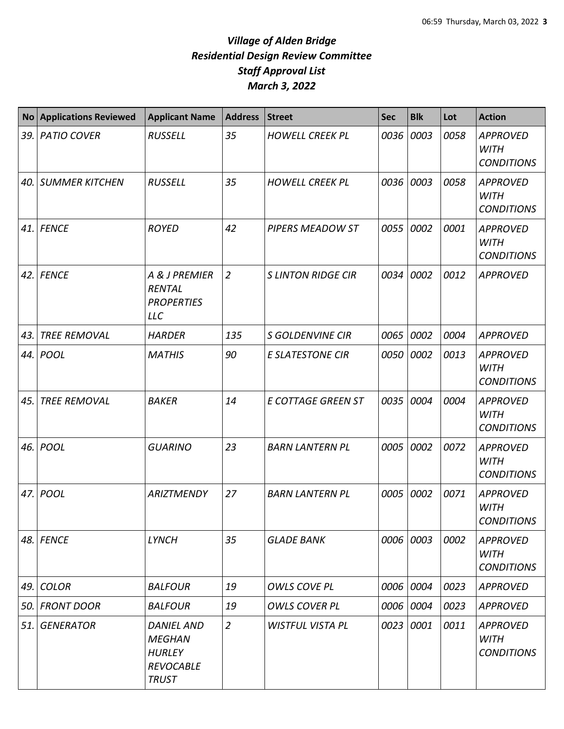| <b>No</b> | <b>Applications Reviewed</b> | <b>Applicant Name</b>                                                                   | <b>Address</b> | <b>Street</b>             | <b>Sec</b> | <b>Blk</b> | Lot  | <b>Action</b>                                       |
|-----------|------------------------------|-----------------------------------------------------------------------------------------|----------------|---------------------------|------------|------------|------|-----------------------------------------------------|
| 39.       | <b>PATIO COVER</b>           | <b>RUSSELL</b>                                                                          | 35             | <b>HOWELL CREEK PL</b>    | 0036       | 0003       | 0058 | <b>APPROVED</b><br><b>WITH</b><br><b>CONDITIONS</b> |
| 40.       | <b>SUMMER KITCHEN</b>        | <b>RUSSELL</b>                                                                          | 35             | <b>HOWELL CREEK PL</b>    | 0036       | 0003       | 0058 | <b>APPROVED</b><br><b>WITH</b><br><b>CONDITIONS</b> |
| 41.       | <b>FENCE</b>                 | <b>ROYED</b>                                                                            | 42             | PIPERS MEADOW ST          | 0055       | 0002       | 0001 | <b>APPROVED</b><br><b>WITH</b><br><b>CONDITIONS</b> |
| 42.       | <b>FENCE</b>                 | A & J PREMIER<br><b>RENTAL</b><br><b>PROPERTIES</b><br><b>LLC</b>                       | $\overline{2}$ | <b>S LINTON RIDGE CIR</b> | 0034       | 0002       | 0012 | <b>APPROVED</b>                                     |
| 43.       | <b>TREE REMOVAL</b>          | <b>HARDER</b>                                                                           | 135            | <b>S GOLDENVINE CIR</b>   | 0065       | 0002       | 0004 | <b>APPROVED</b>                                     |
| 44.       | POOL                         | <b>MATHIS</b>                                                                           | 90             | <b>E SLATESTONE CIR</b>   | 0050       | 0002       | 0013 | <b>APPROVED</b><br><b>WITH</b><br><b>CONDITIONS</b> |
| 45.       | <b>TREE REMOVAL</b>          | <b>BAKER</b>                                                                            | 14             | E COTTAGE GREEN ST        | 0035       | 0004       | 0004 | <b>APPROVED</b><br><b>WITH</b><br><b>CONDITIONS</b> |
| 46.       | <b>POOL</b>                  | <b>GUARINO</b>                                                                          | 23             | <b>BARN LANTERN PL</b>    | 0005       | 0002       | 0072 | <b>APPROVED</b><br><b>WITH</b><br><b>CONDITIONS</b> |
| 47.       | POOL                         | <b>ARIZTMENDY</b>                                                                       | 27             | <b>BARN LANTERN PL</b>    | 0005       | 0002       | 0071 | <b>APPROVED</b><br><b>WITH</b><br><b>CONDITIONS</b> |
| 48.       | <b>FENCE</b>                 | <b>LYNCH</b>                                                                            | 35             | <b>GLADE BANK</b>         | 0006       | 0003       | 0002 | <b>APPROVED</b><br><b>WITH</b><br><b>CONDITIONS</b> |
| 49.       | <b>COLOR</b>                 | <b>BALFOUR</b>                                                                          | 19             | <b>OWLS COVE PL</b>       | 0006       | 0004       | 0023 | <b>APPROVED</b>                                     |
| 50.       | <b>FRONT DOOR</b>            | <b>BALFOUR</b>                                                                          | 19             | <b>OWLS COVER PL</b>      | 0006       | 0004       | 0023 | <b>APPROVED</b>                                     |
| 51.       | <b>GENERATOR</b>             | <b>DANIEL AND</b><br><b>MEGHAN</b><br><b>HURLEY</b><br><b>REVOCABLE</b><br><b>TRUST</b> | $\overline{2}$ | <b>WISTFUL VISTA PL</b>   | 0023       | 0001       | 0011 | <b>APPROVED</b><br><b>WITH</b><br><b>CONDITIONS</b> |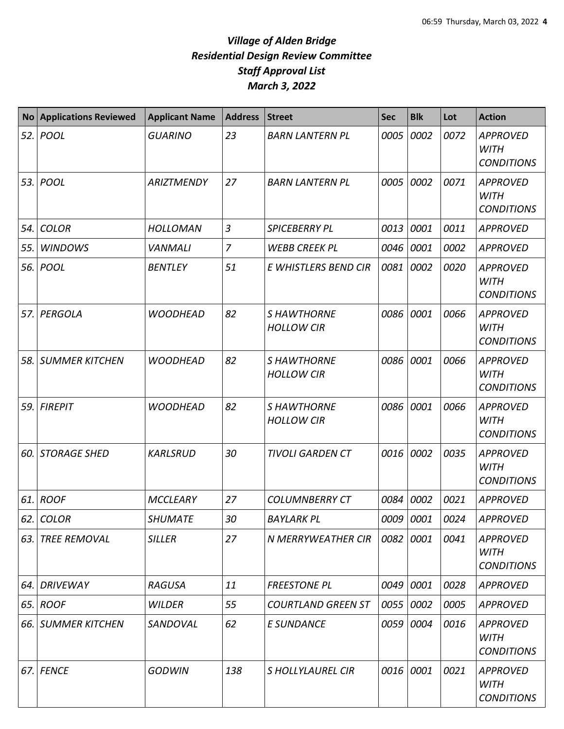| <b>No</b> | <b>Applications Reviewed</b> | <b>Applicant Name</b> | <b>Address</b> | <b>Street</b>                           | <b>Sec</b> | <b>Blk</b> | Lot  | <b>Action</b>                                       |
|-----------|------------------------------|-----------------------|----------------|-----------------------------------------|------------|------------|------|-----------------------------------------------------|
| 52.       | POOL                         | <b>GUARINO</b>        | 23             | <b>BARN LANTERN PL</b>                  | 0005       | 0002       | 0072 | <b>APPROVED</b><br><b>WITH</b><br><b>CONDITIONS</b> |
| 53.       | POOL                         | <b>ARIZTMENDY</b>     | 27             | <b>BARN LANTERN PL</b>                  | 0005       | 0002       | 0071 | <b>APPROVED</b><br><b>WITH</b><br><b>CONDITIONS</b> |
| 54.       | <b>COLOR</b>                 | <b>HOLLOMAN</b>       | $\overline{3}$ | <b>SPICEBERRY PL</b>                    | 0013       | 0001       | 0011 | <b>APPROVED</b>                                     |
| 55.       | <b>WINDOWS</b>               | <b>VANMALI</b>        | $\overline{z}$ | <b>WEBB CREEK PL</b>                    | 0046       | 0001       | 0002 | <b>APPROVED</b>                                     |
| 56.       | POOL                         | <b>BENTLEY</b>        | 51             | E WHISTLERS BEND CIR                    | 0081       | 0002       | 0020 | <b>APPROVED</b><br><b>WITH</b><br><b>CONDITIONS</b> |
| 57.       | PERGOLA                      | <b>WOODHEAD</b>       | 82             | <b>SHAWTHORNE</b><br><b>HOLLOW CIR</b>  | 0086       | 0001       | 0066 | <b>APPROVED</b><br><b>WITH</b><br><b>CONDITIONS</b> |
| 58.       | <b>SUMMER KITCHEN</b>        | <b>WOODHEAD</b>       | 82             | <b>S HAWTHORNE</b><br><b>HOLLOW CIR</b> | 0086       | 0001       | 0066 | <b>APPROVED</b><br><b>WITH</b><br><b>CONDITIONS</b> |
| 59.       | <b>FIREPIT</b>               | <b>WOODHEAD</b>       | 82             | <b>S HAWTHORNE</b><br><b>HOLLOW CIR</b> | 0086       | 0001       | 0066 | <b>APPROVED</b><br><b>WITH</b><br><b>CONDITIONS</b> |
| 60.       | <b>STORAGE SHED</b>          | <b>KARLSRUD</b>       | 30             | <b>TIVOLI GARDEN CT</b>                 | 0016       | 0002       | 0035 | <b>APPROVED</b><br><b>WITH</b><br><b>CONDITIONS</b> |
| 61.       | <b>ROOF</b>                  | <b>MCCLEARY</b>       | 27             | <b>COLUMNBERRY CT</b>                   | 0084       | 0002       | 0021 | <b>APPROVED</b>                                     |
|           | $62$ . COLOR                 | <b>SHUMATE</b>        | 30             | <b>BAYLARK PL</b>                       | 0009 0001  |            | 0024 | <b>APPROVED</b>                                     |
| 63.       | <b>TREE REMOVAL</b>          | <b>SILLER</b>         | 27             | N MERRYWEATHER CIR                      | 0082       | 0001       | 0041 | <b>APPROVED</b><br><b>WITH</b><br><b>CONDITIONS</b> |
| 64.       | <b>DRIVEWAY</b>              | <b>RAGUSA</b>         | 11             | <b>FREESTONE PL</b>                     | 0049       | 0001       | 0028 | <b>APPROVED</b>                                     |
| 65.       | <b>ROOF</b>                  | <b>WILDER</b>         | 55             | <b>COURTLAND GREEN ST</b>               | 0055       | 0002       | 0005 | <b>APPROVED</b>                                     |
| 66.       | <b>SUMMER KITCHEN</b>        | SANDOVAL              | 62             | E SUNDANCE                              | 0059       | 0004       | 0016 | <b>APPROVED</b><br><b>WITH</b><br><b>CONDITIONS</b> |
| 67.       | <b>FENCE</b>                 | <b>GODWIN</b>         | 138            | <b>SHOLLYLAUREL CIR</b>                 | 0016       | 0001       | 0021 | <b>APPROVED</b><br><b>WITH</b><br><b>CONDITIONS</b> |